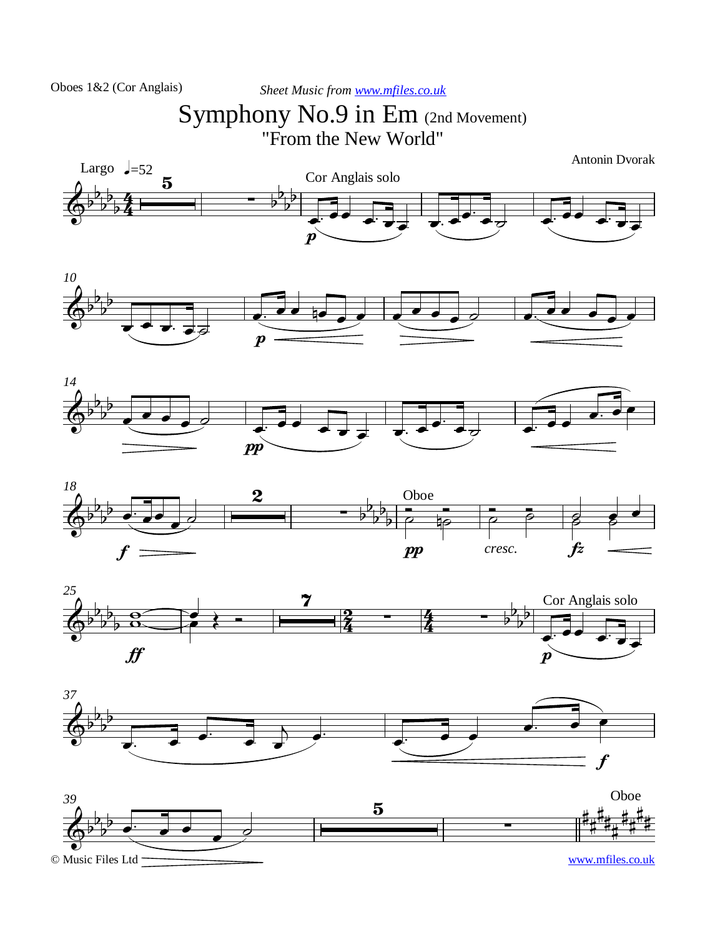```
Sheet Music from www.mfiles.co.uk
```
## Symphony No.9 in Em (2nd Movement) "From the New World"

Antonin Dvorak













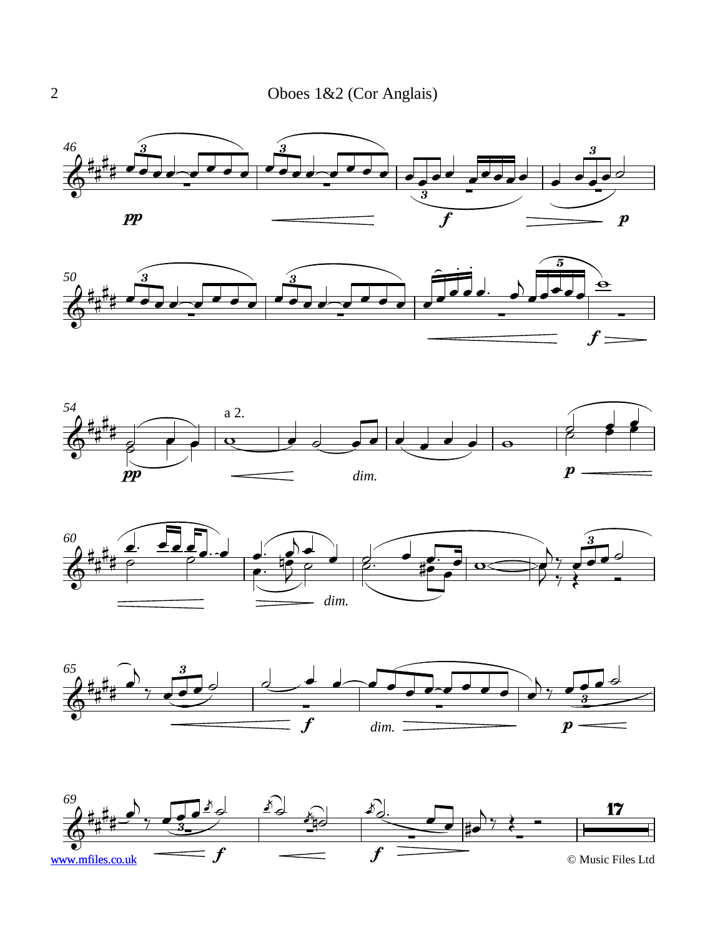